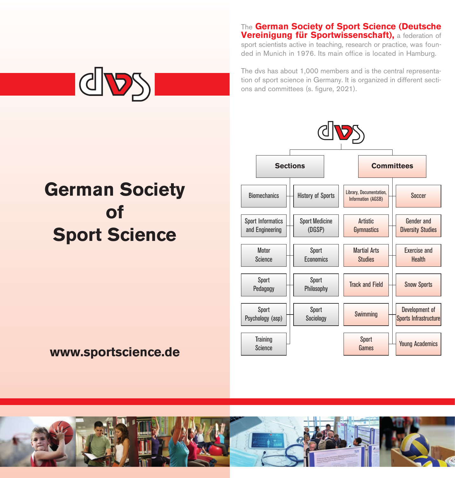#### The **German Society of Sport Science (Deutsche Vereinigung für Sportwissenschaft),** a federation of

sport scientists active in teaching, research or practice, was founded in Munich in 1976. Its main office is located in Hamburg.



The dvs has about 1,000 members and is the central representation of sport science in Germany. It is organized in different sections and committees (s. figure, 2021).

# **German Society of Sport Science**

# **www.sportscience.de**